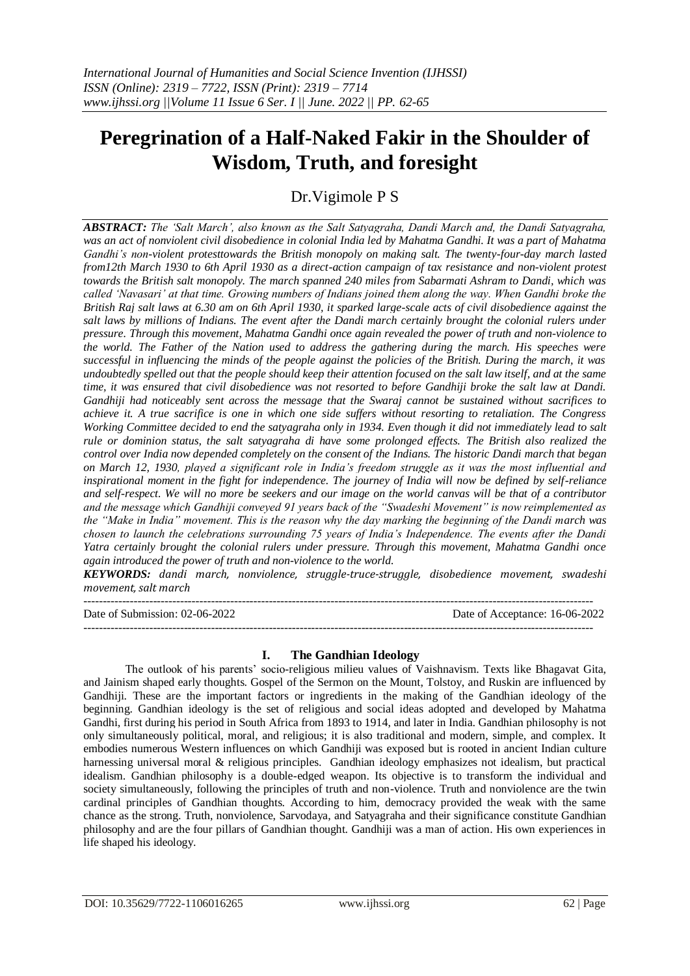# **Peregrination of a Half-Naked Fakir in the Shoulder of Wisdom, Truth, and foresight**

Dr.Vigimole P S

*ABSTRACT: The 'Salt March', also known as the Salt Satyagraha, Dandi March and, the Dandi Satyagraha, was an act of nonviolent civil disobedience in colonial India led by Mahatma Gandhi. It was a part of Mahatma Gandhi's non-violent protesttowards the British monopoly on making salt. The twenty-four-day march lasted from12th March 1930 to 6th April 1930 as a direct-action campaign of tax resistance and non-violent protest towards the British salt monopoly. The march spanned 240 miles from Sabarmati Ashram to Dandi, which was called 'Navasari' at that time. Growing numbers of Indians joined them along the way. When Gandhi broke the British Raj salt laws at 6.30 am on 6th April 1930, it sparked large-scale acts of civil disobedience against the salt laws by millions of Indians. The event after the Dandi march certainly brought the colonial rulers under pressure. Through this movement, Mahatma Gandhi once again revealed the power of truth and non-violence to the world. The Father of the Nation used to address the gathering during the march. His speeches were successful in influencing the minds of the people against the policies of the British. During the march, it was undoubtedly spelled out that the people should keep their attention focused on the salt law itself, and at the same time, it was ensured that civil disobedience was not resorted to before Gandhiji broke the salt law at Dandi. Gandhiji had noticeably sent across the message that the Swaraj cannot be sustained without sacrifices to achieve it. A true sacrifice is one in which one side suffers without resorting to retaliation. The Congress Working Committee decided to end the satyagraha only in 1934. Even though it did not immediately lead to salt rule or dominion status, the salt satyagraha di have some prolonged effects. The British also realized the control over India now depended completely on the consent of the Indians. The historic Dandi march that began on March 12, 1930, played a significant role in India's freedom struggle as it was the most influential and inspirational moment in the fight for independence. The journey of India will now be defined by self-reliance and self-respect. We will no more be seekers and our image on the world canvas will be that of a contributor and the message which Gandhiji conveyed 91 years back of the "Swadeshi Movement" is now reimplemented as the "Make in India" movement. This is the reason why the day marking the beginning of the Dandi march was chosen to launch the celebrations surrounding 75 years of India's Independence. The events after the Dandi Yatra certainly brought the colonial rulers under pressure. Through this movement, Mahatma Gandhi once again introduced the power of truth and non-violence to the world.*

*KEYWORDS: dandi march, nonviolence, struggle-truce-struggle, disobedience movement, swadeshi movement, salt march*

------------------------------------------------------------------------------------------------------------------------------------ Date of Submission: 02-06-2022 Date of Acceptance: 16-06-2022 ------------------------------------------------------------------------------------------------------------------------------------

# **I. The Gandhian Ideology**

The outlook of his parents' socio-religious milieu values of Vaishnavism. Texts like Bhagavat Gita, and Jainism shaped early thoughts. Gospel of the Sermon on the Mount, Tolstoy, and Ruskin are influenced by Gandhiji. These are the important factors or ingredients in the making of the Gandhian ideology of the beginning. Gandhian ideology is the set of religious and social ideas adopted and developed by Mahatma Gandhi, first during his period in South Africa from 1893 to 1914, and later in India. Gandhian philosophy is not only simultaneously political, moral, and religious; it is also traditional and modern, simple, and complex. It embodies numerous Western influences on which Gandhiji was exposed but is rooted in ancient Indian culture harnessing universal moral & religious principles. Gandhian ideology emphasizes not idealism, but practical idealism. Gandhian philosophy is a double-edged weapon. Its objective is to transform the individual and society simultaneously, following the principles of truth and non-violence. Truth and nonviolence are the twin cardinal principles of Gandhian thoughts. According to him, democracy provided the weak with the same chance as the strong. Truth, nonviolence, Sarvodaya, and Satyagraha and their significance constitute Gandhian philosophy and are the four pillars of Gandhian thought. Gandhiji was a man of action. His own experiences in life shaped his ideology.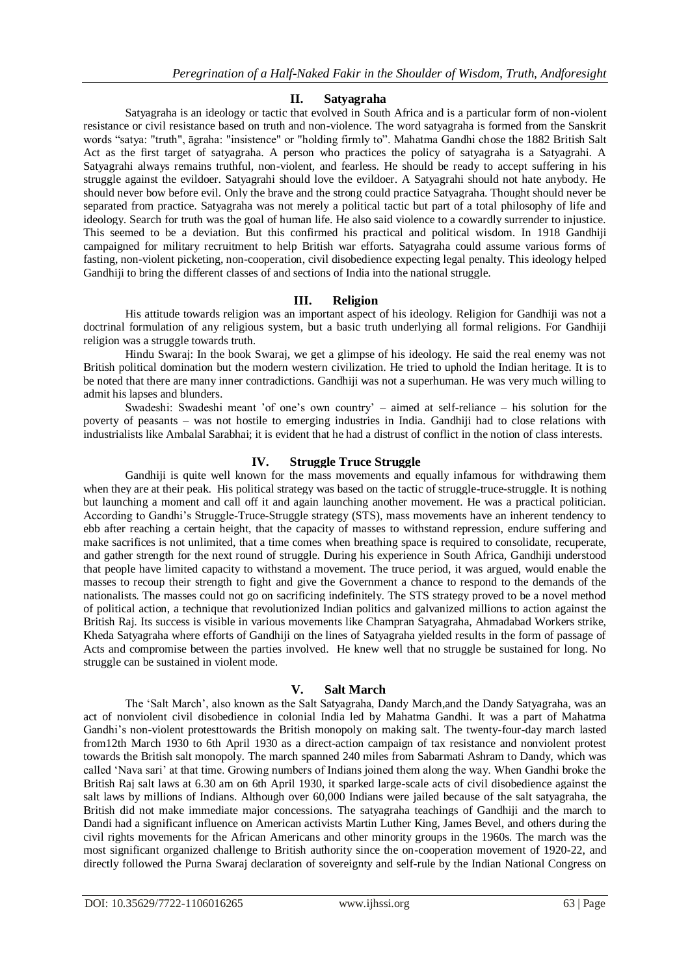#### **II. Satyagraha**

Satyagraha is an ideology or tactic that evolved in South Africa and is a particular form of non-violent resistance or civil resistance based on truth and non-violence. The word satyagraha is formed from the Sanskrit words "satya: "truth", āgraha: "insistence" or "holding firmly to". Mahatma Gandhi chose the 1882 British Salt Act as the first target of satyagraha. A person who practices the policy of satyagraha is a Satyagrahi. A Satyagrahi always remains truthful, non-violent, and fearless. He should be ready to accept suffering in his struggle against the evildoer. Satyagrahi should love the evildoer. A Satyagrahi should not hate anybody. He should never bow before evil. Only the brave and the strong could practice Satyagraha. Thought should never be separated from practice. Satyagraha was not merely a political tactic but part of a total philosophy of life and ideology. Search for truth was the goal of human life. He also said violence to a cowardly surrender to injustice. This seemed to be a deviation. But this confirmed his practical and political wisdom. In 1918 Gandhiji campaigned for military recruitment to help British war efforts. Satyagraha could assume various forms of fasting, non-violent picketing, non-cooperation, civil disobedience expecting legal penalty. This ideology helped Gandhiji to bring the different classes of and sections of India into the national struggle.

### **III. Religion**

His attitude towards religion was an important aspect of his ideology. Religion for Gandhiji was not a doctrinal formulation of any religious system, but a basic truth underlying all formal religions. For Gandhiji religion was a struggle towards truth.

Hindu Swaraj: In the book Swaraj, we get a glimpse of his ideology. He said the real enemy was not British political domination but the modern western civilization. He tried to uphold the Indian heritage. It is to be noted that there are many inner contradictions. Gandhiji was not a superhuman. He was very much willing to admit his lapses and blunders.

Swadeshi: Swadeshi meant 'of one's own country' – aimed at self-reliance – his solution for the poverty of peasants – was not hostile to emerging industries in India. Gandhiji had to close relations with industrialists like Ambalal Sarabhai; it is evident that he had a distrust of conflict in the notion of class interests.

### **IV. Struggle Truce Struggle**

Gandhiji is quite well known for the mass movements and equally infamous for withdrawing them when they are at their peak. His political strategy was based on the tactic of struggle-truce-struggle. It is nothing but launching a moment and call off it and again launching another movement. He was a practical politician. According to Gandhi's Struggle-Truce-Struggle strategy (STS), mass movements have an inherent tendency to ebb after reaching a certain height, that the capacity of masses to withstand repression, endure suffering and make sacrifices is not unlimited, that a time comes when breathing space is required to consolidate, recuperate, and gather strength for the next round of struggle. During his experience in South Africa, Gandhiji understood that people have limited capacity to withstand a movement. The truce period, it was argued, would enable the masses to recoup their strength to fight and give the Government a chance to respond to the demands of the nationalists. The masses could not go on sacrificing indefinitely. The STS strategy proved to be a novel method of political action, a technique that revolutionized Indian politics and galvanized millions to action against the British Raj. Its success is visible in various movements like Champran Satyagraha, Ahmadabad Workers strike, Kheda Satyagraha where efforts of Gandhiji on the lines of Satyagraha yielded results in the form of passage of Acts and compromise between the parties involved. He knew well that no struggle be sustained for long. No struggle can be sustained in violent mode.

# **V. Salt March**

The 'Salt March', also known as the Salt Satyagraha, Dandy March,and the Dandy Satyagraha, was an act of nonviolent civil disobedience in colonial India led by Mahatma Gandhi. It was a part of Mahatma Gandhi's non-violent protesttowards the British monopoly on making salt. The twenty-four-day march lasted from12th March 1930 to 6th April 1930 as a direct-action campaign of tax resistance and nonviolent protest towards the British salt monopoly. The march spanned 240 miles from Sabarmati Ashram to Dandy, which was called 'Nava sari' at that time. Growing numbers of Indians joined them along the way. When Gandhi broke the British Raj salt laws at 6.30 am on 6th April 1930, it sparked large-scale acts of civil disobedience against the salt laws by millions of Indians. Although over 60,000 Indians were jailed because of the salt satyagraha, the British did not make immediate major concessions. The satyagraha teachings of Gandhiji and the march to Dandi had a significant influence on American activists Martin Luther King, James Bevel, and others during the civil rights movements for the African Americans and other minority groups in the 1960s. The march was the most significant organized challenge to British authority since the on-cooperation movement of 1920-22, and directly followed the Purna Swaraj declaration of sovereignty and self-rule by the Indian National Congress on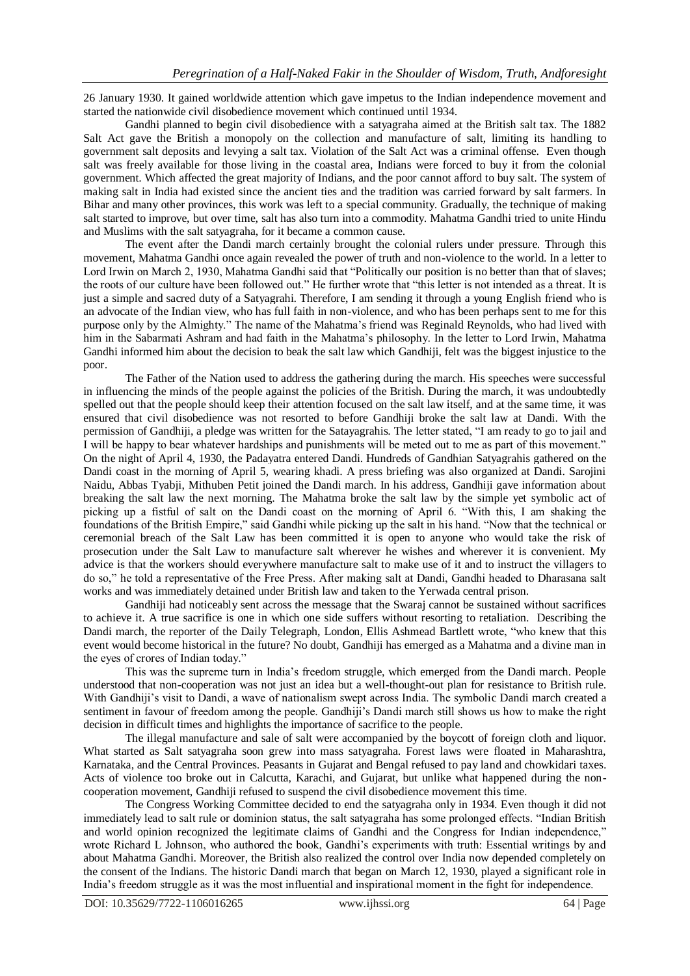26 January 1930. It gained worldwide attention which gave impetus to the Indian independence movement and started the nationwide civil disobedience movement which continued until 1934.

Gandhi planned to begin civil disobedience with a satyagraha aimed at the British salt tax. The 1882 Salt Act gave the British a monopoly on the collection and manufacture of salt, limiting its handling to government salt deposits and levying a salt tax. Violation of the Salt Act was a criminal offense. Even though salt was freely available for those living in the coastal area, Indians were forced to buy it from the colonial government. Which affected the great majority of Indians, and the poor cannot afford to buy salt. The system of making salt in India had existed since the ancient ties and the tradition was carried forward by salt farmers. In Bihar and many other provinces, this work was left to a special community. Gradually, the technique of making salt started to improve, but over time, salt has also turn into a commodity. Mahatma Gandhi tried to unite Hindu and Muslims with the salt satyagraha, for it became a common cause.

The event after the Dandi march certainly brought the colonial rulers under pressure. Through this movement, Mahatma Gandhi once again revealed the power of truth and non-violence to the world. In a letter to Lord Irwin on March 2, 1930, Mahatma Gandhi said that "Politically our position is no better than that of slaves; the roots of our culture have been followed out." He further wrote that "this letter is not intended as a threat. It is just a simple and sacred duty of a Satyagrahi. Therefore, I am sending it through a young English friend who is an advocate of the Indian view, who has full faith in non-violence, and who has been perhaps sent to me for this purpose only by the Almighty." The name of the Mahatma's friend was Reginald Reynolds, who had lived with him in the Sabarmati Ashram and had faith in the Mahatma's philosophy. In the letter to Lord Irwin, Mahatma Gandhi informed him about the decision to beak the salt law which Gandhiji, felt was the biggest injustice to the poor.

The Father of the Nation used to address the gathering during the march. His speeches were successful in influencing the minds of the people against the policies of the British. During the march, it was undoubtedly spelled out that the people should keep their attention focused on the salt law itself, and at the same time, it was ensured that civil disobedience was not resorted to before Gandhiji broke the salt law at Dandi. With the permission of Gandhiji, a pledge was written for the Satayagrahis. The letter stated, "I am ready to go to jail and I will be happy to bear whatever hardships and punishments will be meted out to me as part of this movement." On the night of April 4, 1930, the Padayatra entered Dandi. Hundreds of Gandhian Satyagrahis gathered on the Dandi coast in the morning of April 5, wearing khadi. A press briefing was also organized at Dandi. Sarojini Naidu, Abbas Tyabji, Mithuben Petit joined the Dandi march. In his address, Gandhiji gave information about breaking the salt law the next morning. The Mahatma broke the salt law by the simple yet symbolic act of picking up a fistful of salt on the Dandi coast on the morning of April 6. "With this, I am shaking the foundations of the British Empire," said Gandhi while picking up the salt in his hand. "Now that the technical or ceremonial breach of the Salt Law has been committed it is open to anyone who would take the risk of prosecution under the Salt Law to manufacture salt wherever he wishes and wherever it is convenient. My advice is that the workers should everywhere manufacture salt to make use of it and to instruct the villagers to do so," he told a representative of the Free Press. After making salt at Dandi, Gandhi headed to Dharasana salt works and was immediately detained under British law and taken to the Yerwada central prison.

Gandhiji had noticeably sent across the message that the Swaraj cannot be sustained without sacrifices to achieve it. A true sacrifice is one in which one side suffers without resorting to retaliation. Describing the Dandi march, the reporter of the Daily Telegraph, London, Ellis Ashmead Bartlett wrote, "who knew that this event would become historical in the future? No doubt, Gandhiji has emerged as a Mahatma and a divine man in the eyes of crores of Indian today."

This was the supreme turn in India's freedom struggle, which emerged from the Dandi march. People understood that non-cooperation was not just an idea but a well-thought-out plan for resistance to British rule. With Gandhiji's visit to Dandi, a wave of nationalism swept across India. The symbolic Dandi march created a sentiment in favour of freedom among the people. Gandhiji's Dandi march still shows us how to make the right decision in difficult times and highlights the importance of sacrifice to the people.

The illegal manufacture and sale of salt were accompanied by the boycott of foreign cloth and liquor. What started as Salt satyagraha soon grew into mass satyagraha. Forest laws were floated in Maharashtra, Karnataka, and the Central Provinces. Peasants in Gujarat and Bengal refused to pay land and chowkidari taxes. Acts of violence too broke out in Calcutta, Karachi, and Gujarat, but unlike what happened during the noncooperation movement, Gandhiji refused to suspend the civil disobedience movement this time.

The Congress Working Committee decided to end the satyagraha only in 1934. Even though it did not immediately lead to salt rule or dominion status, the salt satyagraha has some prolonged effects. "Indian British and world opinion recognized the legitimate claims of Gandhi and the Congress for Indian independence," wrote Richard L Johnson, who authored the book, Gandhi's experiments with truth: Essential writings by and about Mahatma Gandhi. Moreover, the British also realized the control over India now depended completely on the consent of the Indians. The historic Dandi march that began on March 12, 1930, played a significant role in India's freedom struggle as it was the most influential and inspirational moment in the fight for independence.